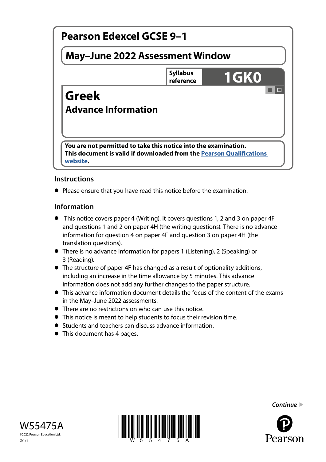

# **Instructions**

**•** Please ensure that you have read this notice before the examination.

## **Information**

- **•** This notice covers paper 4 (Writing). It covers questions 1, 2 and 3 on paper 4F and questions 1 and 2 on paper 4H (the writing questions). There is no advance information for question 4 on paper 4F and question 3 on paper 4H (the translation questions).
- There is no advance information for papers 1 (Listening), 2 (Speaking) or 3 (Reading).
- The structure of paper 4F has changed as a result of optionality additions, including an increase in the time allowance by 5 minutes. This advance information does not add any further changes to the paper structure.
- This advance information document details the focus of the content of the exams in the May–June 2022 assessments.
- There are no restrictions on who can use this notice.
- This notice is meant to help students to focus their revision time.
- Students and teachers can discuss advance information.
- Students and teachers can develop to This document has 4 pages.





*Continue* 

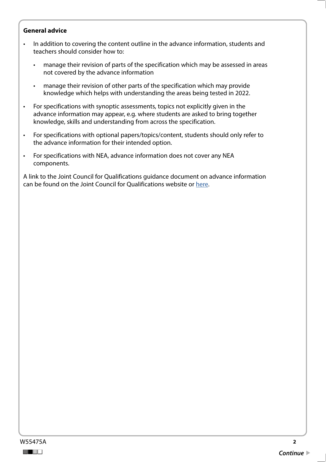#### **General advice**

- In addition to covering the content outline in the advance information, students and teachers should consider how to:
	- manage their revision of parts of the specification which may be assessed in areas not covered by the advance information
	- manage their revision of other parts of the specification which may provide knowledge which helps with understanding the areas being tested in 2022.
- For specifications with synoptic assessments, topics not explicitly given in the advance information may appear, e.g. where students are asked to bring together knowledge, skills and understanding from across the specification.
- For specifications with optional papers/topics/content, students should only refer to the advance information for their intended option.
- For specifications with NEA, advance information does not cover any NEA components.

A link to the Joint Council for Qualifications guidance document on advance information can be found on the Joint Council for Qualifications website or [here](https://www.jcq.org.uk/wp-content/uploads/2021/10/Advance-Information-for-General-Qualifications-2021-22.pdf).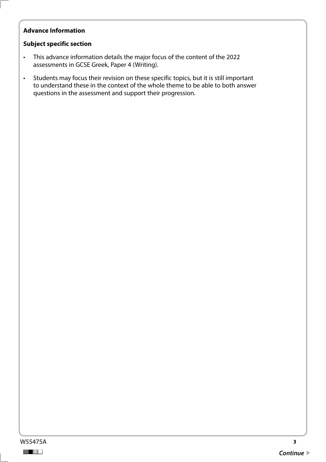# **Advance Information**

#### **Subject specific section**

- This advance information details the major focus of the content of the 2022 assessments in GCSE Greek, Paper 4 (Writing).
- Students may focus their revision on these specific topics, but it is still important to understand these in the context of the whole theme to be able to both answer questions in the assessment and support their progression.